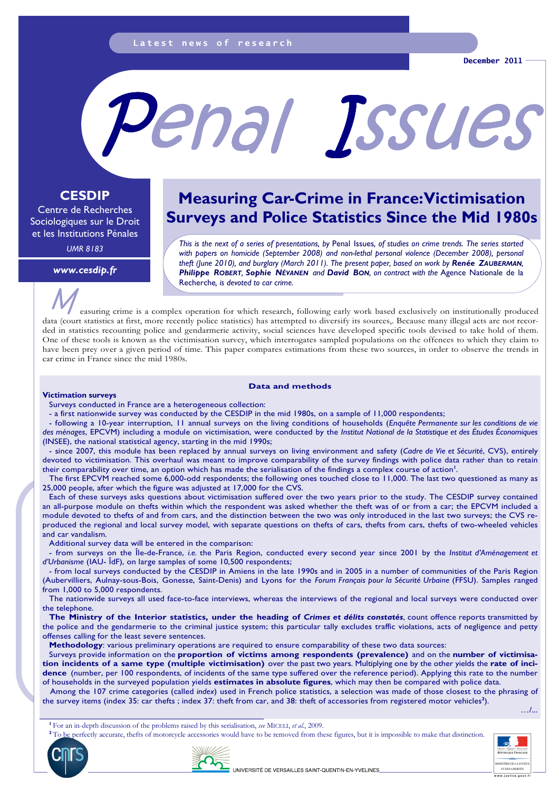# Penal Issues

# **CESDIP**

Centre de Recherches Sociologiques sur le Droit et les Institutions Pénales

*UMR 8183* 

*www.cesdip.fr* 

# **Measuring Car-Crime in France: Victimisation Surveys and Police Statistics Since the Mid 1980s**

*This is the next of a series of presentations, by* Penal Issues*, of studies on crime trends. The series started*  with papers on homicide (September 2008) and non-lethal personal violence (December 2008), personal *theft (June 2010), and burglary (March 2011). The present paper, based on work by Renée ZAUBERMAN, Philippe ROBERT, Sophie NÉVANEN and David BON, on contract with the* Agence Nationale de la Recherche*, is devoted to car crime.* 

easuring crime is a complex operation for which research, following early work based exclusively on institutionally produced data (court statistics at first, more recently police statistics) has attempted to diversify its sources,. Because many illegal acts are not recorded in statistics recounting police and gendarmerie activity, social sciences have developed specific tools devised to take hold of them. One of these tools is known as the victimisation survey, which interrogates sampled populations on the offences to which they claim to have been prey over a given period of time. This paper compares estimations from these two sources, in order to observe the trends in car crime in France since the mid 1980s.

### **Data and methods**

### **Victimation surveys**

Surveys conducted in France are a heterogeneous collection:

- a first nationwide survey was conducted by the CESDIP in the mid 1980s, on a sample of 11,000 respondents;

- following a 10-year interruption, 11 annual surveys on the living conditions of households (*Enquête Permanente sur les conditions de vie des ménages*, EPCVM) including a module on victimisation, were conducted by the *Institut National de la Statistique et des Études Économiques*  (INSEE), the national statistical agency, starting in the mid 1990s;

- since 2007, this module has been replaced by annual surveys on living environment and safety (*Cadre de Vie et Sécurité*, CVS), entirely devoted to victimisation. This overhaul was meant to improve comparability of the survey findings with police data rather than to retain their comparability over time, an option which has made the serialisation of the findings a complex course of action<sup>1</sup>.

The first EPCVM reached some 6,000-odd respondents; the following ones touched close to 11,000. The last two questioned as many as 25,000 people, after which the figure was adjusted at 17,000 for the CVS.

Each of these surveys asks questions about victimisation suffered over the two years prior to the study. The CESDIP survey contained an all-purpose module on thefts within which the respondent was asked whether the theft was of or from a car; the EPCVM included a module devoted to thefts of and from cars, and the distinction between the two was only introduced in the last two surveys; the CVS reproduced the regional and local survey model, with separate questions on thefts of cars, thefts from cars, thefts of two-wheeled vehicles and car vandalism.

Additional survey data will be entered in the comparison:

- from surveys on the Île-de-France, *i.e.* the Paris Region, conducted every second year since 2001 by the *Institut d'Aménagement et d'Urbanisme* (IAU- ÎdF), on large samples of some 10,500 respondents;

from local surveys conducted by the CESDIP in Amiens in the late 1990s and in 2005 in a number of communities of the Paris Region (Aubervilliers, Aulnay-sous-Bois, Gonesse, Saint-Denis) and Lyons for the *Forum Français pour la Sécurité Urbaine* (FFSU). Samples ranged from 1,000 to 5,000 respondents.

The nationwide surveys all used face-to-face interviews, whereas the interviews of the regional and local surveys were conducted over the telephone.

The Ministry of the Interior statistics, under the heading of *Crimes et délits constatés*, count offence reports transmitted by the police and the gendarmerie to the criminal justice system; this particular tally excludes traffic violations, acts of negligence and petty offenses calling for the least severe sentences.

**Methodology**: various preliminary operations are required to ensure comparability of these two data sources:

Surveys provide information on the **proportion of victims among respondents (prevalence)** and on the **number of victimisation incidents of a same type (multiple victimisation)** over the past two years. Multiplying one by the other yields the **rate of incidence** (number, per 100 respondents, of incidents of the same type suffered over the reference period). Applying this rate to the number of households in the surveyed population yields **estimates in absolute figures**, which may then be compared with police data.

Among the 107 crime categories (called *index*) used in French police statistics, a selection was made of those closest to the phrasing of the survey items (index 35: car thefts ; index 37: theft from car, and 38: theft of accessories from registered motor vehicles**<sup>2</sup>** ).

…/...



**<sup>2</sup>**To be perfectly accurate, thefts of motorcycle accessories would have to be removed from these figures, but it is impossible to make that distinction.







**INISTÈRE DE LA JUSTIC** 

ww.justice.gouv.<sup>.</sup>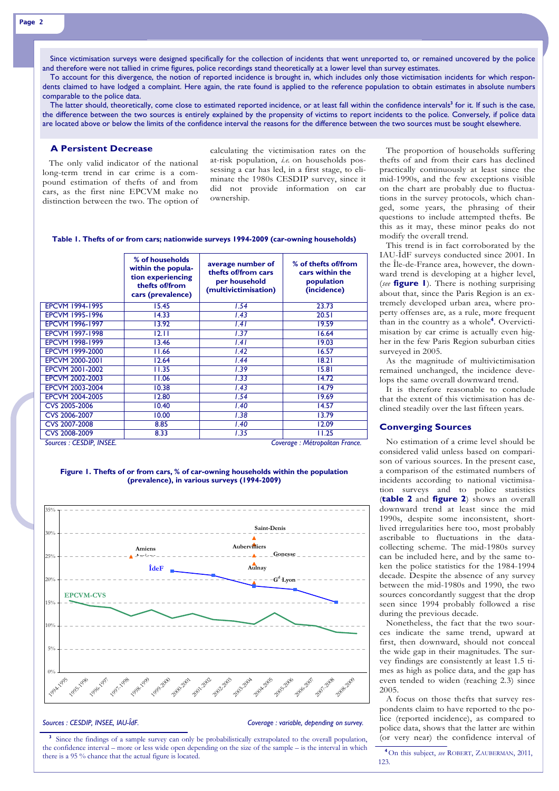Since victimisation surveys were designed specifically for the collection of incidents that went unreported to, or remained uncovered by the police and therefore were not tallied in crime figures, police recordings stand theoretically at a lower level than survey estimates.

To account for this divergence, the notion of reported incidence is brought in, which includes only those victimisation incidents for which respondents claimed to have lodged a complaint. Here again, the rate found is applied to the reference population to obtain estimates in absolute numbers comparable to the police data.

The latter should, theoretically, come close to estimated reported incidence, or at least fall within the confidence intervals**<sup>3</sup>** for it. If such is the case, the difference between the two sources is entirely explained by the propensity of victims to report incidents to the police. Conversely, if police data are located above or below the limits of the confidence interval the reasons for the difference between the two sources must be sought elsewhere.

## **A Persistent Decrease**

The only valid indicator of the national long-term trend in car crime is a compound estimation of thefts of and from cars, as the first nine EPCVM make no distinction between the two. The option of

calculating the victimisation rates on the at-risk population, *i.e.* on households possessing a car has led, in a first stage, to eliminate the 1980s CESDIP survey, since it did not provide information on car ownership.

| Table 1. Thefts of or from cars; nationwide surveys 1994-2009 (car-owning households) |  |  |
|---------------------------------------------------------------------------------------|--|--|
|                                                                                       |  |  |

|                        | % of households<br>within the popula-<br>tion experiencing<br>thefts of/from<br>cars (prevalence) | average number of<br>thefts of/from cars<br>per household<br>(multivictimisation) | % of thefts of/from<br>cars within the<br>population<br>(incidence) |
|------------------------|---------------------------------------------------------------------------------------------------|-----------------------------------------------------------------------------------|---------------------------------------------------------------------|
| <b>EPCVM 1994-1995</b> | 15.45                                                                                             | 1.54                                                                              | 23.73                                                               |
| <b>EPCVM 1995-1996</b> | 14.33                                                                                             | 1.43                                                                              | 20.51                                                               |
| <b>EPCVM 1996-1997</b> | 13.92                                                                                             | 1.41                                                                              | 19.59                                                               |
| <b>EPCVM 1997-1998</b> | 12.11                                                                                             | 1.37                                                                              | 16.64                                                               |
| <b>EPCVM 1998-1999</b> | 13.46                                                                                             | 1.41                                                                              | 19.03                                                               |
| EPCVM 1999-2000        | 11.66                                                                                             | 1.42                                                                              | 16.57                                                               |
| EPCVM 2000-2001        | 12.64                                                                                             | 1.44                                                                              | 18.21                                                               |
| EPCVM 2001-2002        | 11.35                                                                                             | 1.39                                                                              | 15.81                                                               |
| EPCVM 2002-2003        | 11.06                                                                                             | 1.33                                                                              | 14.72                                                               |
| <b>EPCVM 2003-2004</b> | 10.38                                                                                             | 1.43                                                                              | 14.79                                                               |
| <b>EPCVM 2004-2005</b> | 12.80                                                                                             | I.54                                                                              | 19.69                                                               |
| CVS 2005-2006          | 10.40                                                                                             | 1.40                                                                              | 14.57                                                               |
| CVS 2006-2007          | 10.00                                                                                             | 1.38                                                                              | 13.79                                                               |
| CVS 2007-2008          | 8.85                                                                                              | 1.40                                                                              | 12.09                                                               |
| CVS 2008-2009          | 8.33                                                                                              | 1.35                                                                              | 11.25                                                               |

*Sources : CESDIP, INSEE. Coverage : Métropolitan France.* 

### **Figure 1. Thefts of or from cars, % of car-owning households within the population (prevalence), in various surveys (1994-2009)**



Sources : CESDIP, INSEE, IAU-ÎdF. Coverage : variable, depending on survey.

<sup>3</sup> Since the findings of a sample survey can only be probabilistically extrapolated to the overall population, (or very near) the confidence interval of the confidence interval – more or less wide open depending on the size of the sample – is the interval in which there is a 95 % chance that the actual figure is located.

The proportion of households suffering thefts of and from their cars has declined practically continuously at least since the mid-1990s, and the few exceptions visible on the chart are probably due to fluctuations in the survey protocols, which changed, some years, the phrasing of their questions to include attempted thefts. Be this as it may, these minor peaks do not modify the overall trend.

This trend is in fact corroborated by the IAU-ÎdF surveys conducted since 2001. In the Île-de-France area, however, the downward trend is developing at a higher level, (*see* **figure 1**). There is nothing surprising about that, since the Paris Region is an extremely developed urban area, where property offenses are, as a rule, more frequent than in the country as a whole**<sup>4</sup>** . Overvictimisation by car crime is actually even higher in the few Paris Region suburban cities surveyed in 2005.

As the magnitude of multivictimisation remained unchanged, the incidence develops the same overall downward trend.

It is therefore reasonable to conclude that the extent of this victimisation has declined steadily over the last fifteen years.

### **Converging Sources**

No estimation of a crime level should be considered valid unless based on comparison of various sources. In the present case, a comparison of the estimated numbers of incidents according to national victimisation surveys and to police statistics (**table 2** and **figure 2**) shows an overall downward trend at least since the mid 1990s, despite some inconsistent, shortlived irregularities here too, most probably ascribable to fluctuations in the datacollecting scheme. The mid-1980s survey can be included here, and by the same token the police statistics for the 1984-1994 decade. Despite the absence of any survey between the mid-1980s and 1990, the two sources concordantly suggest that the drop seen since 1994 probably followed a rise during the previous decade.

Nonetheless, the fact that the two sources indicate the same trend, upward at first, then downward, should not conceal the wide gap in their magnitudes. The survey findings are consistently at least 1.5 times as high as police data, and the gap has even tended to widen (reaching 2.3) since 2005.

A focus on those thefts that survey respondents claim to have reported to the police (reported incidence), as compared to police data, shows that the latter are within

**<sup>4</sup>**On this subject, *see* ROBERT, ZAUBERMAN, 2011, 123.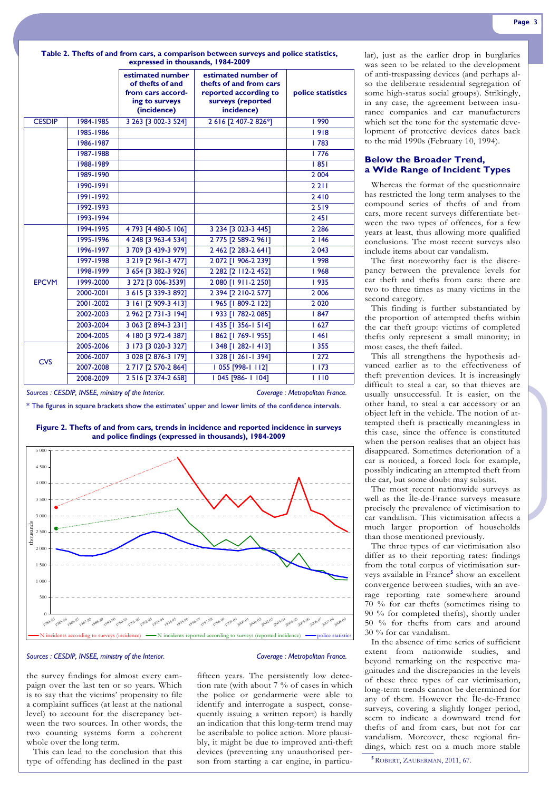| Table 2. Thefts of and from cars, a comparison between surveys and police statistics, |                                   |  |  |
|---------------------------------------------------------------------------------------|-----------------------------------|--|--|
|                                                                                       | expressed in thousands, 1984-2009 |  |  |

| estimated number<br>estimated number of<br>of thefts of and<br>thefts of and from cars<br>reported according to<br>from cars accord-<br>police statistics<br>surveys (reported<br>ing to surveys<br>(incidence)<br>incidence)<br>3 263 [3 002-3 524]<br>2 6 16 [2 407-2 826*]<br>1984-1985<br><b>CESDIP</b><br>  990<br>  918<br>1985-1986<br>1986-1987<br>1783<br>1776<br>1987-1988<br>1988-1989<br>1851<br>1989-1990<br>2 0 0 4<br>1990-1991<br>2 2 1 1<br>1991-1992<br>2410<br>1992-1993<br>2519<br>2451<br>1993-1994<br>1994-1995<br>4 793 [4 480-5 106]<br>3 234 [3 023-3 445]<br>2 2 8 6<br>4 248 [3 963-4 534]<br>1995-1996<br>2775 [2589-2961]<br>2 1 4 6<br>3 709 [3 439-3 979]<br>2 462 [2 283-2 641]<br>1996-1997<br>2 0 4 3<br>1997-1998<br>3 2 19 [2 9 6 1 - 3 477]<br>2 072 [1 906-2 239]<br>  998<br>3 654 [3 382-3 926]<br>2 2 8 2 [2 112 - 2 4 5 2]<br>1998-1999<br>1968<br>3 272 [3 006-3539]<br>2 080 [1 911-2 250]<br><b>EPCVM</b><br>1999-2000<br>  935<br>2000-2001<br>3 615 [3 339-3 892]<br>2 394 [2 210-2 577]<br>2 0 0 6<br>3 161 [2 909-3 413]<br>  965   809-2 122]<br>2001-2002<br>2 0 2 0<br>2 962 [2 731-3 194]<br>  933 [1 782-2 085]<br>2002-2003<br>1847<br>  435   356-1 514]<br>2003-2004<br>3 063 [2 894-3 231]<br>1627<br>2004-2005<br>4 180 [3 972-4 387]<br>  862 [ 769-1 955]<br>1461<br>  348   282-1413]<br>2005-2006<br>3 173 [3 020-3 327]<br><b>1355</b><br>3 028 [2 876-3 179]<br>2006-2007<br>  328   261-1 394]<br>1272<br><b>CVS</b><br>2 7 17 [2 570-2 864]<br>1055 [998-1112]<br>2007-2008<br>1173<br>2 5 16 [2 374-2 658]<br>1 045 [986-1104]<br>2008-2009<br>1110 |  |  |  |  |  |
|-------------------------------------------------------------------------------------------------------------------------------------------------------------------------------------------------------------------------------------------------------------------------------------------------------------------------------------------------------------------------------------------------------------------------------------------------------------------------------------------------------------------------------------------------------------------------------------------------------------------------------------------------------------------------------------------------------------------------------------------------------------------------------------------------------------------------------------------------------------------------------------------------------------------------------------------------------------------------------------------------------------------------------------------------------------------------------------------------------------------------------------------------------------------------------------------------------------------------------------------------------------------------------------------------------------------------------------------------------------------------------------------------------------------------------------------------------------------------------------------------------------------------------------------------------------------------------------------------------------------------|--|--|--|--|--|
|                                                                                                                                                                                                                                                                                                                                                                                                                                                                                                                                                                                                                                                                                                                                                                                                                                                                                                                                                                                                                                                                                                                                                                                                                                                                                                                                                                                                                                                                                                                                                                                                                         |  |  |  |  |  |
|                                                                                                                                                                                                                                                                                                                                                                                                                                                                                                                                                                                                                                                                                                                                                                                                                                                                                                                                                                                                                                                                                                                                                                                                                                                                                                                                                                                                                                                                                                                                                                                                                         |  |  |  |  |  |
|                                                                                                                                                                                                                                                                                                                                                                                                                                                                                                                                                                                                                                                                                                                                                                                                                                                                                                                                                                                                                                                                                                                                                                                                                                                                                                                                                                                                                                                                                                                                                                                                                         |  |  |  |  |  |
|                                                                                                                                                                                                                                                                                                                                                                                                                                                                                                                                                                                                                                                                                                                                                                                                                                                                                                                                                                                                                                                                                                                                                                                                                                                                                                                                                                                                                                                                                                                                                                                                                         |  |  |  |  |  |
|                                                                                                                                                                                                                                                                                                                                                                                                                                                                                                                                                                                                                                                                                                                                                                                                                                                                                                                                                                                                                                                                                                                                                                                                                                                                                                                                                                                                                                                                                                                                                                                                                         |  |  |  |  |  |
|                                                                                                                                                                                                                                                                                                                                                                                                                                                                                                                                                                                                                                                                                                                                                                                                                                                                                                                                                                                                                                                                                                                                                                                                                                                                                                                                                                                                                                                                                                                                                                                                                         |  |  |  |  |  |
|                                                                                                                                                                                                                                                                                                                                                                                                                                                                                                                                                                                                                                                                                                                                                                                                                                                                                                                                                                                                                                                                                                                                                                                                                                                                                                                                                                                                                                                                                                                                                                                                                         |  |  |  |  |  |
|                                                                                                                                                                                                                                                                                                                                                                                                                                                                                                                                                                                                                                                                                                                                                                                                                                                                                                                                                                                                                                                                                                                                                                                                                                                                                                                                                                                                                                                                                                                                                                                                                         |  |  |  |  |  |
|                                                                                                                                                                                                                                                                                                                                                                                                                                                                                                                                                                                                                                                                                                                                                                                                                                                                                                                                                                                                                                                                                                                                                                                                                                                                                                                                                                                                                                                                                                                                                                                                                         |  |  |  |  |  |
|                                                                                                                                                                                                                                                                                                                                                                                                                                                                                                                                                                                                                                                                                                                                                                                                                                                                                                                                                                                                                                                                                                                                                                                                                                                                                                                                                                                                                                                                                                                                                                                                                         |  |  |  |  |  |
|                                                                                                                                                                                                                                                                                                                                                                                                                                                                                                                                                                                                                                                                                                                                                                                                                                                                                                                                                                                                                                                                                                                                                                                                                                                                                                                                                                                                                                                                                                                                                                                                                         |  |  |  |  |  |
|                                                                                                                                                                                                                                                                                                                                                                                                                                                                                                                                                                                                                                                                                                                                                                                                                                                                                                                                                                                                                                                                                                                                                                                                                                                                                                                                                                                                                                                                                                                                                                                                                         |  |  |  |  |  |
|                                                                                                                                                                                                                                                                                                                                                                                                                                                                                                                                                                                                                                                                                                                                                                                                                                                                                                                                                                                                                                                                                                                                                                                                                                                                                                                                                                                                                                                                                                                                                                                                                         |  |  |  |  |  |
|                                                                                                                                                                                                                                                                                                                                                                                                                                                                                                                                                                                                                                                                                                                                                                                                                                                                                                                                                                                                                                                                                                                                                                                                                                                                                                                                                                                                                                                                                                                                                                                                                         |  |  |  |  |  |
|                                                                                                                                                                                                                                                                                                                                                                                                                                                                                                                                                                                                                                                                                                                                                                                                                                                                                                                                                                                                                                                                                                                                                                                                                                                                                                                                                                                                                                                                                                                                                                                                                         |  |  |  |  |  |
|                                                                                                                                                                                                                                                                                                                                                                                                                                                                                                                                                                                                                                                                                                                                                                                                                                                                                                                                                                                                                                                                                                                                                                                                                                                                                                                                                                                                                                                                                                                                                                                                                         |  |  |  |  |  |
|                                                                                                                                                                                                                                                                                                                                                                                                                                                                                                                                                                                                                                                                                                                                                                                                                                                                                                                                                                                                                                                                                                                                                                                                                                                                                                                                                                                                                                                                                                                                                                                                                         |  |  |  |  |  |
|                                                                                                                                                                                                                                                                                                                                                                                                                                                                                                                                                                                                                                                                                                                                                                                                                                                                                                                                                                                                                                                                                                                                                                                                                                                                                                                                                                                                                                                                                                                                                                                                                         |  |  |  |  |  |
|                                                                                                                                                                                                                                                                                                                                                                                                                                                                                                                                                                                                                                                                                                                                                                                                                                                                                                                                                                                                                                                                                                                                                                                                                                                                                                                                                                                                                                                                                                                                                                                                                         |  |  |  |  |  |
|                                                                                                                                                                                                                                                                                                                                                                                                                                                                                                                                                                                                                                                                                                                                                                                                                                                                                                                                                                                                                                                                                                                                                                                                                                                                                                                                                                                                                                                                                                                                                                                                                         |  |  |  |  |  |
|                                                                                                                                                                                                                                                                                                                                                                                                                                                                                                                                                                                                                                                                                                                                                                                                                                                                                                                                                                                                                                                                                                                                                                                                                                                                                                                                                                                                                                                                                                                                                                                                                         |  |  |  |  |  |
|                                                                                                                                                                                                                                                                                                                                                                                                                                                                                                                                                                                                                                                                                                                                                                                                                                                                                                                                                                                                                                                                                                                                                                                                                                                                                                                                                                                                                                                                                                                                                                                                                         |  |  |  |  |  |
|                                                                                                                                                                                                                                                                                                                                                                                                                                                                                                                                                                                                                                                                                                                                                                                                                                                                                                                                                                                                                                                                                                                                                                                                                                                                                                                                                                                                                                                                                                                                                                                                                         |  |  |  |  |  |
|                                                                                                                                                                                                                                                                                                                                                                                                                                                                                                                                                                                                                                                                                                                                                                                                                                                                                                                                                                                                                                                                                                                                                                                                                                                                                                                                                                                                                                                                                                                                                                                                                         |  |  |  |  |  |
|                                                                                                                                                                                                                                                                                                                                                                                                                                                                                                                                                                                                                                                                                                                                                                                                                                                                                                                                                                                                                                                                                                                                                                                                                                                                                                                                                                                                                                                                                                                                                                                                                         |  |  |  |  |  |
|                                                                                                                                                                                                                                                                                                                                                                                                                                                                                                                                                                                                                                                                                                                                                                                                                                                                                                                                                                                                                                                                                                                                                                                                                                                                                                                                                                                                                                                                                                                                                                                                                         |  |  |  |  |  |

*Sources : CESDIP, INSEE, ministry of the Interior. Coverage : Metropolitan France.* 

\* The figures in square brackets show the estimates' upper and lower limits of the confidence intervals.



### **Figure 2. Thefts of and from cars, trends in incidence and reported incidence in surveys and police findings (expressed in thousands), 1984-2009**

### *Sources : CESDIP, INSEE, ministry of the Interior. Coverage : Metropolitan France.*

the survey findings for almost every campaign over the last ten or so years. Which is to say that the victims' propensity to file a complaint suffices (at least at the national level) to account for the discrepancy between the two sources. In other words, the two counting systems form a coherent whole over the long term.

This can lead to the conclusion that this type of offending has declined in the past

fifteen years. The persistently low detection rate (with about 7 % of cases in which the police or gendarmerie were able to identify and interrogate a suspect, consequently issuing a written report) is hardly an indication that this long-term trend may be ascribable to police action. More plausibly, it might be due to improved anti-theft devices (preventing any unauthorised person from starting a car engine, in particu-<br>**5**ROBERT, ZAUBERMAN, 2011, 67.

lar), just as the earlier drop in burglaries was seen to be related to the development of anti-trespassing devices (and perhaps also the deliberate residential segregation of some high-status social groups). Strikingly, in any case, the agreement between insurance companies and car manufacturers which set the tone for the systematic development of protective devices dates back to the mid 1990s (February 10, 1994).

### **Below the Broader Trend, a Wide Range of Incident Types**

Whereas the format of the questionnaire has restricted the long term analyses to the compound series of thefts of and from cars, more recent surveys differentiate between the two types of offences, for a few years at least, thus allowing more qualified conclusions. The most recent surveys also include items about car vandalism.

The first noteworthy fact is the discrepancy between the prevalence levels for car theft and thefts from cars: there are two to three times as many victims in the second category.

This finding is further substantiated by the proportion of attempted thefts within the car theft group: victims of completed thefts only represent a small minority; in most cases, the theft failed.

This all strengthens the hypothesis advanced earlier as to the effectiveness of theft prevention devices. It is increasingly difficult to steal a car, so that thieves are usually unsuccessful. It is easier, on the other hand, to steal a car accessory or an object left in the vehicle. The notion of attempted theft is practically meaningless in this case, since the offence is constituted when the person realises that an object has disappeared. Sometimes deterioration of a car is noticed, a forced lock for example, possibly indicating an attempted theft from the car, but some doubt may subsist.

The most recent nationwide surveys as well as the Île-de-France surveys measure precisely the prevalence of victimisation to car vandalism. This victimisation affects a much larger proportion of households than those mentioned previously.

The three types of car victimisation also differ as to their reporting rates: findings from the total corpus of victimisation surveys available in France<sup>5</sup> show an excellent convergence between studies, with an average reporting rate somewhere around  $70\%$  for car thefts (sometimes rising to 90 % for completed thefts), shortly under 50 % for thefts from cars and around 30 % for car vandalism.

In the absence of time series of sufficient extent from nationwide studies, and beyond remarking on the respective magnitudes and the discrepancies in the levels of these three types of car victimisation, long-term trends cannot be determined for any of them. However the Île-de-France surveys, covering a slightly longer period, seem to indicate a downward trend for thefts of and from cars, but not for car vandalism. Moreover, these regional findings, which rest on a much more stable